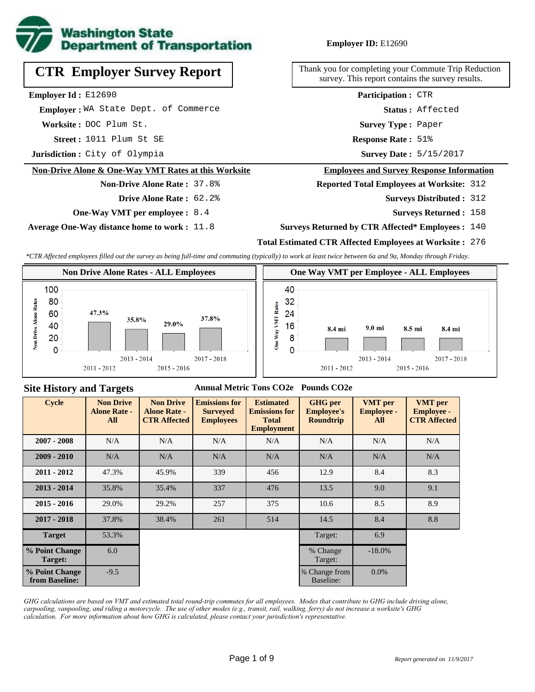

**CTR Employer Survey Report**

**Employer Id :** E12690

 **Employer :** WA State Dept. of Commerce

**Worksite :** DOC Plum St.

**Street :** 1011 Plum St SE **Response Rate :** 

**Jurisdiction :** City of Olympia

#### **Non-Drive Alone & One-Way VMT Rates at this Worksite**

**Non-Drive Alone Rate :** 37.8%

**Drive Alone Rate :** 62.2%

**One-Way VMT per employee :** 8.4

**Average One-Way distance home to work :** 11.8

Thank you for completing your Commute Trip Reduction survey. This report contains the survey results.

> **Survey Type :** Paper **Status :** Affected **Participation :** CTR

Response Rate: 51%

Survey Date: 5/15/2017

#### **Employees and Survey Response Information**

**Reported Total Employees at Worksite:** 312

- 312 **Surveys Distributed :**
	- **Surveys Returned :** 158

#### **Surveys Returned by CTR Affected\* Employees :** 140

## **Total Estimated CTR Affected Employees at Worksite :** 276

*\*CTR Affected employees filled out the survey as being full-time and commuting (typically) to work at least twice between 6a and 9a, Monday through Friday.*



### **Site History and Targets**

#### **Annual Metric Tons CO2e Pounds CO2e**

| <b>Cycle</b>                     | <b>Non Drive</b><br><b>Alone Rate -</b><br><b>All</b> | <b>Non Drive</b><br><b>Alone Rate -</b><br><b>CTR Affected</b> | <b>Emissions for</b><br><b>Surveyed</b><br><b>Employees</b> | <b>Estimated</b><br><b>Emissions for</b><br><b>Total</b><br><b>Employment</b> | <b>GHG</b> per<br><b>Employee's</b><br><b>Roundtrip</b> | <b>VMT</b> per<br><b>Employee -</b><br>All | <b>VMT</b> per<br><b>Employee -</b><br><b>CTR Affected</b> |
|----------------------------------|-------------------------------------------------------|----------------------------------------------------------------|-------------------------------------------------------------|-------------------------------------------------------------------------------|---------------------------------------------------------|--------------------------------------------|------------------------------------------------------------|
| $2007 - 2008$                    | N/A                                                   | N/A                                                            | N/A                                                         | N/A                                                                           | N/A                                                     | N/A                                        | N/A                                                        |
| $2009 - 2010$                    | N/A                                                   | N/A                                                            | N/A                                                         | N/A                                                                           | N/A                                                     | N/A                                        | N/A                                                        |
| $2011 - 2012$                    | 47.3%                                                 | 45.9%                                                          | 339                                                         | 456                                                                           | 12.9                                                    | 8.4                                        | 8.3                                                        |
| $2013 - 2014$                    | 35.8%                                                 | 35.4%                                                          | 337                                                         | 476                                                                           | 13.5                                                    | 9.0                                        | 9.1                                                        |
| $2015 - 2016$                    | 29.0%                                                 | 29.2%                                                          | 257                                                         | 375                                                                           | 10.6                                                    | 8.5                                        | 8.9                                                        |
| $2017 - 2018$                    | 37.8%                                                 | 38.4%                                                          | 261                                                         | 514                                                                           | 14.5                                                    | 8.4                                        | 8.8                                                        |
| <b>Target</b>                    | 53.3%                                                 |                                                                |                                                             |                                                                               | Target:                                                 | 6.9                                        |                                                            |
| % Point Change<br>Target:        | 6.0                                                   |                                                                |                                                             |                                                                               | % Change<br>Target:                                     | $-18.0\%$                                  |                                                            |
| % Point Change<br>from Baseline: | $-9.5$                                                |                                                                |                                                             |                                                                               | % Change from<br>Baseline:                              | $0.0\%$                                    |                                                            |

*GHG calculations are based on VMT and estimated total round-trip commutes for all employees. Modes that contribute to GHG include driving alone, carpooling, vanpooling, and riding a motorcycle. The use of other modes (e.g., transit, rail, walking, ferry) do not increase a worksite's GHG calculation. For more information about how GHG is calculated, please contact your jurisdiction's representative.*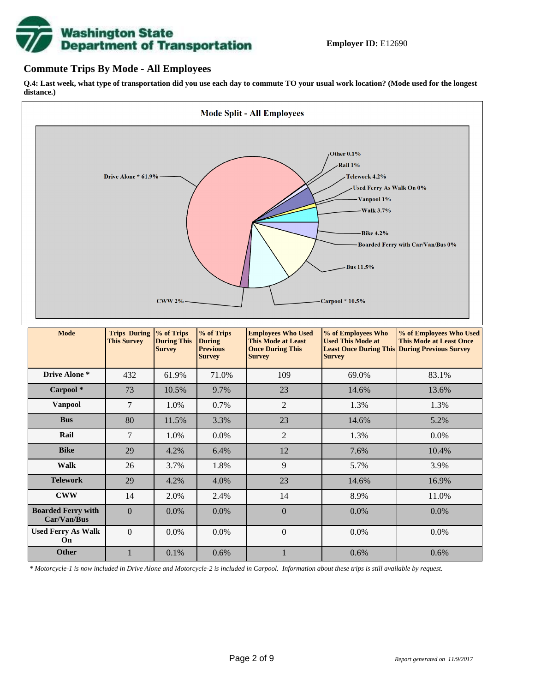# **Washington State<br>Department of Transportation**

## **Commute Trips By Mode - All Employees**

**Q.4: Last week, what type of transportation did you use each day to commute TO your usual work location? (Mode used for the longest distance.)**



|                                          |              | <b>Survey</b> | <b>Previous</b><br><b>Survey</b> | <b>Once During This</b><br><b>Survey</b> | <b>Survey</b> | <b>Least Once During This During Previous Survey</b> |
|------------------------------------------|--------------|---------------|----------------------------------|------------------------------------------|---------------|------------------------------------------------------|
| Drive Alone *                            | 432          | 61.9%         | 71.0%                            | 109                                      | 69.0%         | 83.1%                                                |
| Carpool *                                | 73           | 10.5%         | 9.7%                             | 23                                       | 14.6%         | 13.6%                                                |
| <b>Vanpool</b>                           | $\tau$       | 1.0%          | 0.7%                             | $\overline{c}$                           | 1.3%          | 1.3%                                                 |
| <b>Bus</b>                               | 80           | 11.5%         | 3.3%                             | 23                                       | 14.6%         | 5.2%                                                 |
| Rail                                     | $\tau$       | 1.0%          | $0.0\%$                          | $\mathbf{2}$                             | 1.3%          | $0.0\%$                                              |
| <b>Bike</b>                              | 29           | 4.2%          | 6.4%                             | 12                                       | 7.6%          | 10.4%                                                |
| <b>Walk</b>                              | 26           | 3.7%          | 1.8%                             | 9                                        | 5.7%          | 3.9%                                                 |
| <b>Telework</b>                          | 29           | 4.2%          | 4.0%                             | 23                                       | 14.6%         | 16.9%                                                |
| <b>CWW</b>                               | 14           | 2.0%          | 2.4%                             | 14                                       | 8.9%          | 11.0%                                                |
| <b>Boarded Ferry with</b><br>Car/Van/Bus | $\Omega$     | 0.0%          | 0.0%                             | $\boldsymbol{0}$                         | 0.0%          | $0.0\%$                                              |
| <b>Used Ferry As Walk</b><br>On          | $\mathbf{0}$ | $0.0\%$       | $0.0\%$                          | $\overline{0}$                           | $0.0\%$       | $0.0\%$                                              |
| <b>Other</b>                             |              | 0.1%          | 0.6%                             |                                          | 0.6%          | 0.6%                                                 |

*\* Motorcycle-1 is now included in Drive Alone and Motorcycle-2 is included in Carpool. Information about these trips is still available by request.*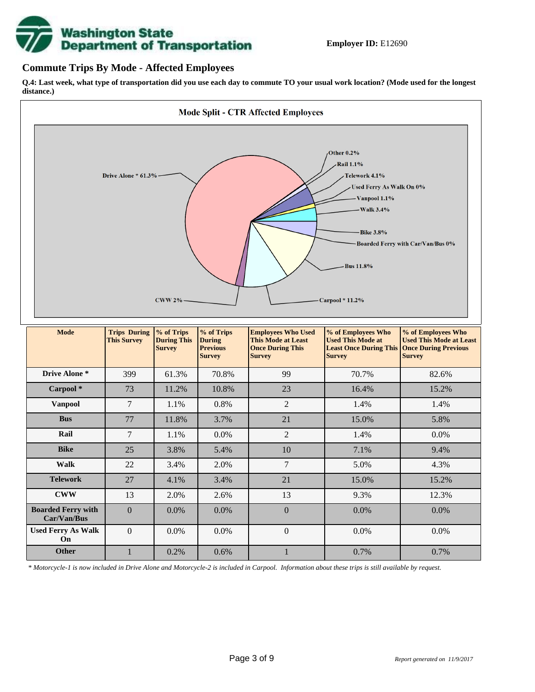

## **Commute Trips By Mode - Affected Employees**

**Boarded Ferry with Car/Van/Bus**

**Used Ferry As Walk On**

**Q.4: Last week, what type of transportation did you use each day to commute TO your usual work location? (Mode used for the longest distance.)**



*\* Motorcycle-1 is now included in Drive Alone and Motorcycle-2 is included in Carpool. Information about these trips is still available by request.*

**CWW** 13 2.0% 2.6% 13 9.3% 12.3%

**Other** 1 0.2% 0.6% 1 0.7% 0.7% 0.7%

0 0.0% 0.0% 0 0.0% 0.0% 0.0%

 $0 \t 0.0\% \t 0.0\% \t 0.0\% \t 0.0\% \t 0.00\%$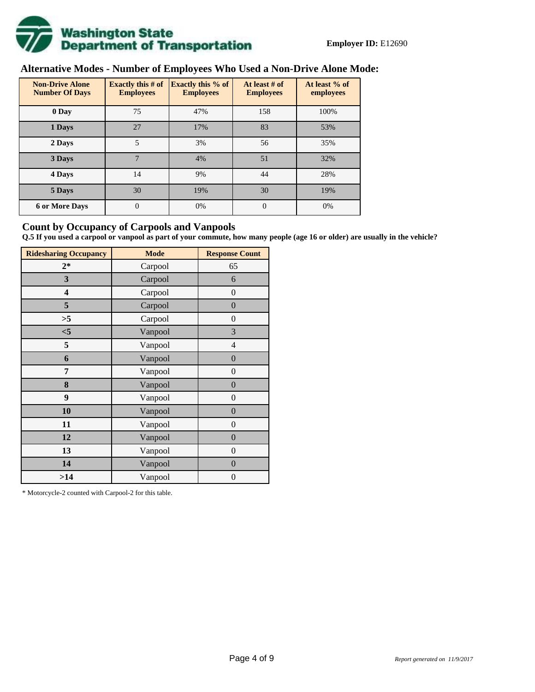

# **Alternative Modes - Number of Employees Who Used a Non-Drive Alone Mode:**

| <b>Non-Drive Alone</b><br><b>Number Of Days</b> | Exactly this $#$ of<br><b>Employees</b> | Exactly this % of<br><b>Employees</b> | At least # of<br><b>Employees</b> | At least % of<br>employees |
|-------------------------------------------------|-----------------------------------------|---------------------------------------|-----------------------------------|----------------------------|
| 0 Day                                           | 75                                      | 47%                                   | 158                               | 100%                       |
| 1 Days                                          | 27                                      | 17%                                   | 83                                | 53%                        |
| 2 Days                                          | 5                                       | 3%                                    | 56                                | 35%                        |
| 3 Days                                          | 7                                       | 4%                                    | 51                                | 32%                        |
| 4 Days                                          | 14                                      | 9%                                    | 44                                | 28%                        |
| 5 Days                                          | 30                                      | 19%                                   | 30                                | 19%                        |
| <b>6 or More Days</b>                           | $\overline{0}$                          | 0%                                    | $\overline{0}$                    | 0%                         |

## **Count by Occupancy of Carpools and Vanpools**

**Q.5 If you used a carpool or vanpool as part of your commute, how many people (age 16 or older) are usually in the vehicle?**

| <b>Ridesharing Occupancy</b> | <b>Mode</b> | <b>Response Count</b> |
|------------------------------|-------------|-----------------------|
| $2*$                         | Carpool     | 65                    |
| 3                            | Carpool     | 6                     |
| 4                            | Carpool     | $\boldsymbol{0}$      |
| 5                            | Carpool     | $\boldsymbol{0}$      |
| >5                           | Carpool     | $\overline{0}$        |
| $<$ 5                        | Vanpool     | 3                     |
| 5                            | Vanpool     | $\overline{4}$        |
| 6                            | Vanpool     | $\boldsymbol{0}$      |
| 7                            | Vanpool     | $\overline{0}$        |
| 8                            | Vanpool     | $\boldsymbol{0}$      |
| 9                            | Vanpool     | $\overline{0}$        |
| 10                           | Vanpool     | $\overline{0}$        |
| 11                           | Vanpool     | $\boldsymbol{0}$      |
| 12                           | Vanpool     | $\boldsymbol{0}$      |
| 13                           | Vanpool     | $\boldsymbol{0}$      |
| 14                           | Vanpool     | $\overline{0}$        |
| >14                          | Vanpool     | $\boldsymbol{0}$      |

\* Motorcycle-2 counted with Carpool-2 for this table.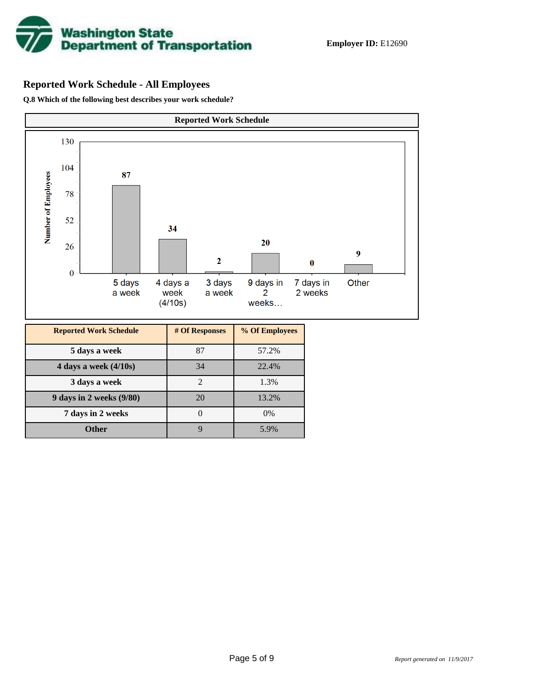

# **Reported Work Schedule - All Employees**

**Q.8 Which of the following best describes your work schedule?**

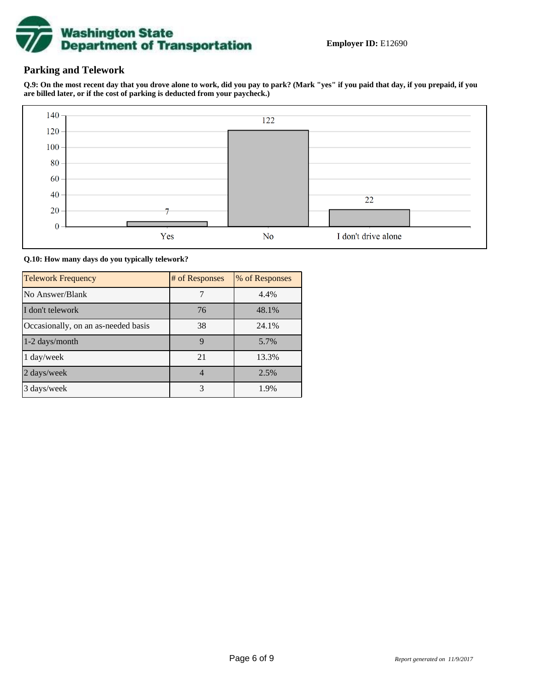

# **Parking and Telework**

**Q.9: On the most recent day that you drove alone to work, did you pay to park? (Mark "yes" if you paid that day, if you prepaid, if you are billed later, or if the cost of parking is deducted from your paycheck.)**



**Q.10: How many days do you typically telework?**

| <b>Telework Frequency</b>           | # of Responses | % of Responses |
|-------------------------------------|----------------|----------------|
| No Answer/Blank                     |                | 4.4%           |
| I don't telework                    | 76             | 48.1%          |
| Occasionally, on an as-needed basis | 38             | 24.1%          |
| 1-2 days/month                      | 9              | 5.7%           |
| 1 day/week                          | 21             | 13.3%          |
| 2 days/week                         | $\overline{4}$ | 2.5%           |
| 3 days/week                         | 3              | 1.9%           |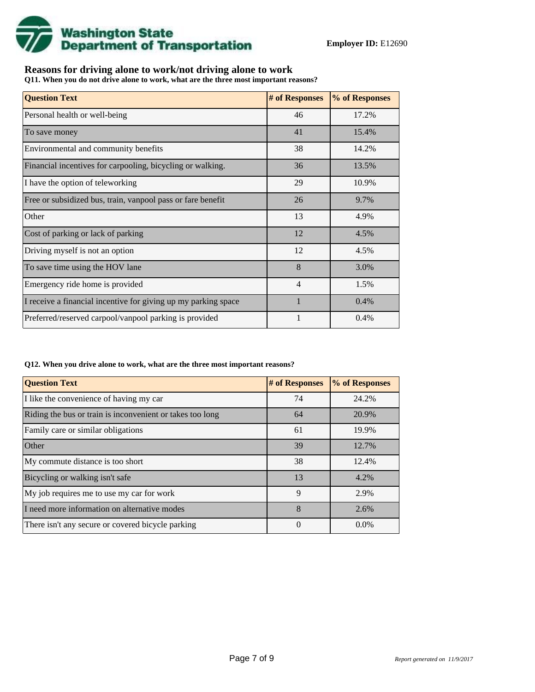

# **Reasons for driving alone to work/not driving alone to work**

**Q11. When you do not drive alone to work, what are the three most important reasons?**

| <b>Question Text</b>                                           | # of Responses | % of Responses |
|----------------------------------------------------------------|----------------|----------------|
| Personal health or well-being                                  | 46             | 17.2%          |
| To save money                                                  | 41             | 15.4%          |
| Environmental and community benefits                           | 38             | 14.2%          |
| Financial incentives for carpooling, bicycling or walking.     | 36             | 13.5%          |
| I have the option of teleworking                               | 29             | 10.9%          |
| Free or subsidized bus, train, vanpool pass or fare benefit    | 26             | 9.7%           |
| Other                                                          | 13             | 4.9%           |
| Cost of parking or lack of parking                             | 12             | 4.5%           |
| Driving myself is not an option                                | 12             | 4.5%           |
| To save time using the HOV lane                                | 8              | 3.0%           |
| Emergency ride home is provided                                | $\overline{4}$ | 1.5%           |
| I receive a financial incentive for giving up my parking space | $\mathbf{1}$   | 0.4%           |
| Preferred/reserved carpool/vanpool parking is provided         |                | 0.4%           |

#### **Q12. When you drive alone to work, what are the three most important reasons?**

| <b>Question Text</b>                                      | # of Responses | % of Responses |
|-----------------------------------------------------------|----------------|----------------|
| I like the convenience of having my car                   | 74             | 24.2%          |
| Riding the bus or train is inconvenient or takes too long | 64             | 20.9%          |
| Family care or similar obligations                        | 61             | 19.9%          |
| <b>Other</b>                                              | 39             | 12.7%          |
| My commute distance is too short                          | 38             | 12.4%          |
| Bicycling or walking isn't safe                           | 13             | 4.2%           |
| My job requires me to use my car for work                 | 9              | 2.9%           |
| I need more information on alternative modes              | 8              | 2.6%           |
| There isn't any secure or covered bicycle parking         | 0              | $0.0\%$        |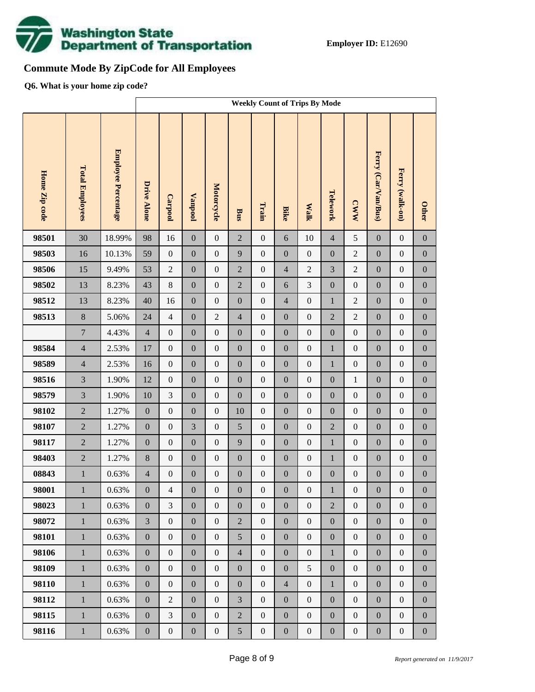

# **Commute Mode By ZipCode for All Employees**

**Q6. What is your home zip code?**

|               |                        |                     | <b>Weekly Count of Trips By Mode</b> |                  |                  |                  |                  |                  |                  |                  |                  |                  |                     |                  |                  |
|---------------|------------------------|---------------------|--------------------------------------|------------------|------------------|------------------|------------------|------------------|------------------|------------------|------------------|------------------|---------------------|------------------|------------------|
| Home Zip code | <b>Total Employees</b> | Employee Percentage | <b>Drive Alone</b>                   | Carpool          | <b>Vanpool</b>   | Motorcycle       | <b>Bus</b>       | Train            | <b>Bike</b>      | <b>Walk</b>      | Telework         | <b>CWW</b>       | Ferry (Car/Van/Bus) | Ferry (walk-on)  | <b>Other</b>     |
| 98501         | 30                     | 18.99%              | 98                                   | 16               | $\boldsymbol{0}$ | $\boldsymbol{0}$ | $\overline{2}$   | $\boldsymbol{0}$ | 6                | 10               | $\overline{4}$   | 5                | $\mathbf{0}$        | $\boldsymbol{0}$ | $\boldsymbol{0}$ |
| 98503         | 16                     | 10.13%              | 59                                   | $\boldsymbol{0}$ | $\boldsymbol{0}$ | $\boldsymbol{0}$ | 9                | $\boldsymbol{0}$ | $\overline{0}$   | $\boldsymbol{0}$ | $\boldsymbol{0}$ | $\overline{c}$   | $\boldsymbol{0}$    | $\boldsymbol{0}$ | $\boldsymbol{0}$ |
| 98506         | 15                     | 9.49%               | 53                                   | $\sqrt{2}$       | $\boldsymbol{0}$ | $\boldsymbol{0}$ | $\overline{2}$   | $\boldsymbol{0}$ | $\overline{4}$   | $\overline{c}$   | 3                | $\overline{c}$   | $\boldsymbol{0}$    | $\boldsymbol{0}$ | $\boldsymbol{0}$ |
| 98502         | 13                     | 8.23%               | 43                                   | $\,8\,$          | $\boldsymbol{0}$ | $\boldsymbol{0}$ | $\overline{2}$   | $\boldsymbol{0}$ | 6                | $\overline{3}$   | $\boldsymbol{0}$ | $\boldsymbol{0}$ | $\boldsymbol{0}$    | $\boldsymbol{0}$ | $\boldsymbol{0}$ |
| 98512         | 13                     | 8.23%               | 40                                   | 16               | $\boldsymbol{0}$ | $\boldsymbol{0}$ | $\boldsymbol{0}$ | $\boldsymbol{0}$ | $\overline{4}$   | $\boldsymbol{0}$ | $\mathbf{1}$     | $\sqrt{2}$       | $\boldsymbol{0}$    | $\boldsymbol{0}$ | $\boldsymbol{0}$ |
| 98513         | $\,8\,$                | 5.06%               | 24                                   | $\overline{4}$   | $\boldsymbol{0}$ | $\overline{2}$   | $\overline{4}$   | $\boldsymbol{0}$ | $\overline{0}$   | $\boldsymbol{0}$ | $\overline{2}$   | $\overline{2}$   | $\boldsymbol{0}$    | $\boldsymbol{0}$ | $\boldsymbol{0}$ |
|               | $\tau$                 | 4.43%               | $\overline{4}$                       | $\boldsymbol{0}$ | $\boldsymbol{0}$ | $\boldsymbol{0}$ | $\boldsymbol{0}$ | $\boldsymbol{0}$ | $\boldsymbol{0}$ | $\boldsymbol{0}$ | $\boldsymbol{0}$ | $\boldsymbol{0}$ | $\boldsymbol{0}$    | $\boldsymbol{0}$ | $\boldsymbol{0}$ |
| 98584         | $\overline{4}$         | 2.53%               | 17                                   | $\boldsymbol{0}$ | $\boldsymbol{0}$ | $\boldsymbol{0}$ | $\boldsymbol{0}$ | $\boldsymbol{0}$ | $\overline{0}$   | $\boldsymbol{0}$ | $\mathbf{1}$     | $\boldsymbol{0}$ | $\boldsymbol{0}$    | $\boldsymbol{0}$ | $\boldsymbol{0}$ |
| 98589         | $\overline{4}$         | 2.53%               | 16                                   | $\boldsymbol{0}$ | $\boldsymbol{0}$ | $\boldsymbol{0}$ | $\boldsymbol{0}$ | $\boldsymbol{0}$ | $\boldsymbol{0}$ | $\boldsymbol{0}$ | $\mathbf{1}$     | $\boldsymbol{0}$ | $\boldsymbol{0}$    | $\boldsymbol{0}$ | $\boldsymbol{0}$ |
| 98516         | $\overline{3}$         | 1.90%               | 12                                   | $\boldsymbol{0}$ | $\boldsymbol{0}$ | $\boldsymbol{0}$ | $\boldsymbol{0}$ | $\boldsymbol{0}$ | $\overline{0}$   | $\boldsymbol{0}$ | $\boldsymbol{0}$ | $\mathbf{1}$     | $\boldsymbol{0}$    | $\boldsymbol{0}$ | $\boldsymbol{0}$ |
| 98579         | $\overline{3}$         | 1.90%               | 10                                   | 3                | $\boldsymbol{0}$ | $\boldsymbol{0}$ | $\boldsymbol{0}$ | $\boldsymbol{0}$ | $\boldsymbol{0}$ | $\boldsymbol{0}$ | $\boldsymbol{0}$ | $\boldsymbol{0}$ | $\boldsymbol{0}$    | $\boldsymbol{0}$ | $\boldsymbol{0}$ |
| 98102         | $\overline{2}$         | 1.27%               | $\boldsymbol{0}$                     | $\boldsymbol{0}$ | $\boldsymbol{0}$ | $\boldsymbol{0}$ | 10               | $\boldsymbol{0}$ | $\overline{0}$   | $\boldsymbol{0}$ | $\boldsymbol{0}$ | $\boldsymbol{0}$ | $\boldsymbol{0}$    | $\boldsymbol{0}$ | $\boldsymbol{0}$ |
| 98107         | $\overline{2}$         | 1.27%               | $\boldsymbol{0}$                     | $\boldsymbol{0}$ | 3                | $\boldsymbol{0}$ | 5                | $\boldsymbol{0}$ | $\boldsymbol{0}$ | $\boldsymbol{0}$ | $\overline{2}$   | $\boldsymbol{0}$ | $\boldsymbol{0}$    | $\boldsymbol{0}$ | $\boldsymbol{0}$ |
| 98117         | $\overline{2}$         | 1.27%               | $\boldsymbol{0}$                     | $\boldsymbol{0}$ | $\boldsymbol{0}$ | $\boldsymbol{0}$ | 9                | $\boldsymbol{0}$ | $\overline{0}$   | $\boldsymbol{0}$ | $\mathbf{1}$     | $\boldsymbol{0}$ | $\boldsymbol{0}$    | $\boldsymbol{0}$ | $\boldsymbol{0}$ |
| 98403         | $\overline{2}$         | 1.27%               | $8\,$                                | $\boldsymbol{0}$ | $\boldsymbol{0}$ | $\boldsymbol{0}$ | $\boldsymbol{0}$ | $\boldsymbol{0}$ | $\boldsymbol{0}$ | $\boldsymbol{0}$ | $\mathbf{1}$     | $\boldsymbol{0}$ | $\boldsymbol{0}$    | $\boldsymbol{0}$ | $\boldsymbol{0}$ |
| 08843         | $\mathbf 1$            | 0.63%               | $\overline{4}$                       | $\boldsymbol{0}$ | $\boldsymbol{0}$ | $\boldsymbol{0}$ | $\boldsymbol{0}$ | $\boldsymbol{0}$ | $\mathbf{0}$     | $\boldsymbol{0}$ | $\boldsymbol{0}$ | $\boldsymbol{0}$ | $\boldsymbol{0}$    | $\boldsymbol{0}$ | $\boldsymbol{0}$ |
| 98001         | $\mathbf{1}$           | $0.63\%$            | $\boldsymbol{0}$                     | $\overline{4}$   | $\boldsymbol{0}$ | $\boldsymbol{0}$ | $\boldsymbol{0}$ | $\boldsymbol{0}$ | $\boldsymbol{0}$ | $\mathbf{0}$     | $\mathbf{1}$     | $\boldsymbol{0}$ | $\boldsymbol{0}$    | $\boldsymbol{0}$ | $\boldsymbol{0}$ |
| 98023         | $\mathbf{1}$           | 0.63%               | $\mathbf{0}$                         | $\overline{3}$   | $\boldsymbol{0}$ | $\boldsymbol{0}$ | $\boldsymbol{0}$ | $\boldsymbol{0}$ | $\overline{0}$   | $\boldsymbol{0}$ | $\overline{2}$   | $\boldsymbol{0}$ | $\boldsymbol{0}$    | $\boldsymbol{0}$ | $\mathbf{0}$     |
| 98072         | $\mathbf{1}$           | 0.63%               | $\overline{3}$                       | $\boldsymbol{0}$ | $\boldsymbol{0}$ | $\boldsymbol{0}$ | $\overline{2}$   | $\boldsymbol{0}$ | $\overline{0}$   | $\boldsymbol{0}$ | $\boldsymbol{0}$ | $\boldsymbol{0}$ | $\boldsymbol{0}$    | $\boldsymbol{0}$ | $\boldsymbol{0}$ |
| 98101         | $\mathbf{1}$           | 0.63%               | $\boldsymbol{0}$                     | $\boldsymbol{0}$ | $\boldsymbol{0}$ | $\boldsymbol{0}$ | 5                | $\boldsymbol{0}$ | $\boldsymbol{0}$ | $\boldsymbol{0}$ | $\boldsymbol{0}$ | $\boldsymbol{0}$ | $\boldsymbol{0}$    | $\boldsymbol{0}$ | $\boldsymbol{0}$ |
| 98106         | $\mathbf{1}$           | 0.63%               | $\boldsymbol{0}$                     | $\boldsymbol{0}$ | $\boldsymbol{0}$ | $\boldsymbol{0}$ | $\overline{4}$   | $\boldsymbol{0}$ | $\overline{0}$   | $\boldsymbol{0}$ | $\mathbf{1}$     | $\boldsymbol{0}$ | $\boldsymbol{0}$    | $\boldsymbol{0}$ | $\boldsymbol{0}$ |
| 98109         | $\mathbf{1}$           | 0.63%               | $\boldsymbol{0}$                     | $\boldsymbol{0}$ | $\boldsymbol{0}$ | $\boldsymbol{0}$ | $\boldsymbol{0}$ | $\boldsymbol{0}$ | $\boldsymbol{0}$ | 5                | $\boldsymbol{0}$ | $\boldsymbol{0}$ | $\boldsymbol{0}$    | $\boldsymbol{0}$ | $\boldsymbol{0}$ |
| 98110         | $\mathbf{1}$           | 0.63%               | $\boldsymbol{0}$                     | $\boldsymbol{0}$ | $\boldsymbol{0}$ | $\mathbf{0}$     | $\overline{0}$   | $\mathbf{0}$     | $\overline{4}$   | $\boldsymbol{0}$ | $\mathbf{1}$     | $\boldsymbol{0}$ | $\boldsymbol{0}$    | $\boldsymbol{0}$ | $\boldsymbol{0}$ |
| 98112         | $\mathbf{1}$           | 0.63%               | $\boldsymbol{0}$                     | $\overline{2}$   | $\boldsymbol{0}$ | $\boldsymbol{0}$ | 3                | $\boldsymbol{0}$ | $\boldsymbol{0}$ | $\boldsymbol{0}$ | $\boldsymbol{0}$ | $\boldsymbol{0}$ | $\boldsymbol{0}$    | $\boldsymbol{0}$ | $\boldsymbol{0}$ |
| 98115         | $\mathbf{1}$           | 0.63%               | $\boldsymbol{0}$                     | 3                | $\boldsymbol{0}$ | $\boldsymbol{0}$ | $\overline{2}$   | $\boldsymbol{0}$ | $\overline{0}$   | $\boldsymbol{0}$ | $\boldsymbol{0}$ | $\boldsymbol{0}$ | $\boldsymbol{0}$    | $\boldsymbol{0}$ | $\boldsymbol{0}$ |
| 98116         | $\,1$                  | 0.63%               | $\boldsymbol{0}$                     | $\boldsymbol{0}$ | $\boldsymbol{0}$ | $\boldsymbol{0}$ | $\mathfrak{S}$   | $\boldsymbol{0}$ | $\boldsymbol{0}$ | $\boldsymbol{0}$ | $\boldsymbol{0}$ | $\boldsymbol{0}$ | $\boldsymbol{0}$    | $\boldsymbol{0}$ | $\boldsymbol{0}$ |